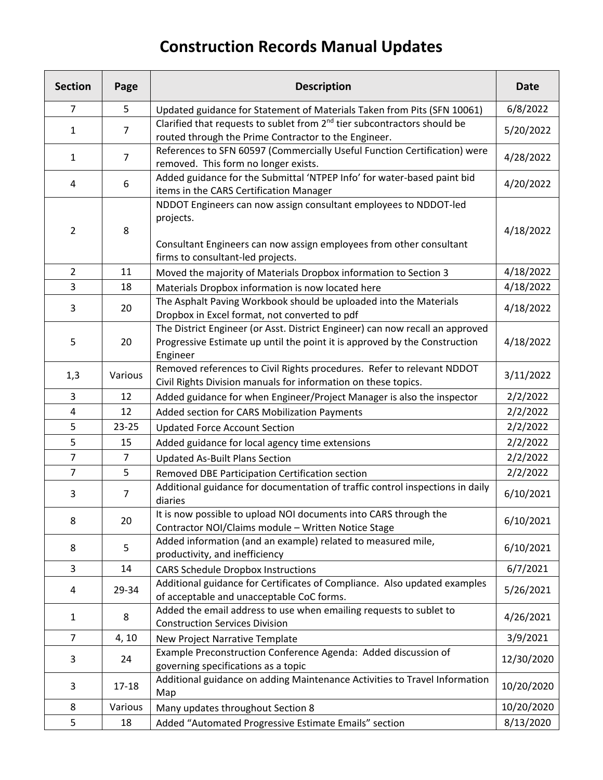## **Construction Records Manual Updates**

| <b>Section</b> | Page           | <b>Description</b>                                                                                                             | <b>Date</b> |
|----------------|----------------|--------------------------------------------------------------------------------------------------------------------------------|-------------|
| 7              | 5              | Updated guidance for Statement of Materials Taken from Pits (SFN 10061)                                                        | 6/8/2022    |
| 1              | $\overline{7}$ | Clarified that requests to sublet from 2 <sup>nd</sup> tier subcontractors should be                                           | 5/20/2022   |
|                |                | routed through the Prime Contractor to the Engineer.                                                                           |             |
| 1              | $\overline{7}$ | References to SFN 60597 (Commercially Useful Function Certification) were                                                      | 4/28/2022   |
| 4              |                | removed. This form no longer exists.<br>Added guidance for the Submittal 'NTPEP Info' for water-based paint bid                |             |
|                | 6              | items in the CARS Certification Manager                                                                                        | 4/20/2022   |
|                |                | NDDOT Engineers can now assign consultant employees to NDDOT-led                                                               |             |
|                |                | projects.                                                                                                                      |             |
| $\overline{2}$ | 8              |                                                                                                                                | 4/18/2022   |
|                |                | Consultant Engineers can now assign employees from other consultant                                                            |             |
|                |                | firms to consultant-led projects.                                                                                              |             |
| $\overline{2}$ | 11             | Moved the majority of Materials Dropbox information to Section 3                                                               | 4/18/2022   |
| 3              | 18             | Materials Dropbox information is now located here                                                                              | 4/18/2022   |
| 3              | 20             | The Asphalt Paving Workbook should be uploaded into the Materials                                                              | 4/18/2022   |
|                |                | Dropbox in Excel format, not converted to pdf<br>The District Engineer (or Asst. District Engineer) can now recall an approved |             |
| 5              | 20             | Progressive Estimate up until the point it is approved by the Construction                                                     | 4/18/2022   |
|                |                | Engineer                                                                                                                       |             |
|                |                | Removed references to Civil Rights procedures. Refer to relevant NDDOT                                                         |             |
| 1,3            | Various        | Civil Rights Division manuals for information on these topics.                                                                 | 3/11/2022   |
| 3              | 12             | Added guidance for when Engineer/Project Manager is also the inspector                                                         | 2/2/2022    |
| 4              | 12             | Added section for CARS Mobilization Payments                                                                                   | 2/2/2022    |
| 5              | 23-25          | <b>Updated Force Account Section</b>                                                                                           | 2/2/2022    |
| 5              | 15             | Added guidance for local agency time extensions                                                                                | 2/2/2022    |
| $\overline{7}$ | 7              | <b>Updated As-Built Plans Section</b>                                                                                          | 2/2/2022    |
| $\overline{7}$ | 5              | Removed DBE Participation Certification section                                                                                | 2/2/2022    |
| 3              | $\overline{7}$ | Additional guidance for documentation of traffic control inspections in daily<br>diaries                                       | 6/10/2021   |
| 8              | 20             | It is now possible to upload NOI documents into CARS through the<br>Contractor NOI/Claims module - Written Notice Stage        | 6/10/2021   |
| 8              | 5              | Added information (and an example) related to measured mile,<br>productivity, and inefficiency                                 | 6/10/2021   |
| 3              | 14             | <b>CARS Schedule Dropbox Instructions</b>                                                                                      | 6/7/2021    |
| 4              | 29-34          | Additional guidance for Certificates of Compliance. Also updated examples<br>of acceptable and unacceptable CoC forms.         | 5/26/2021   |
| $\mathbf{1}$   | 8              | Added the email address to use when emailing requests to sublet to<br><b>Construction Services Division</b>                    | 4/26/2021   |
| $\overline{7}$ | 4, 10          | New Project Narrative Template                                                                                                 | 3/9/2021    |
|                | 24             | Example Preconstruction Conference Agenda: Added discussion of                                                                 | 12/30/2020  |
| 3              |                | governing specifications as a topic                                                                                            |             |
| 3              | 17-18          | Additional guidance on adding Maintenance Activities to Travel Information<br>Map                                              | 10/20/2020  |
| 8              | Various        | Many updates throughout Section 8                                                                                              | 10/20/2020  |
| 5              | 18             | Added "Automated Progressive Estimate Emails" section                                                                          | 8/13/2020   |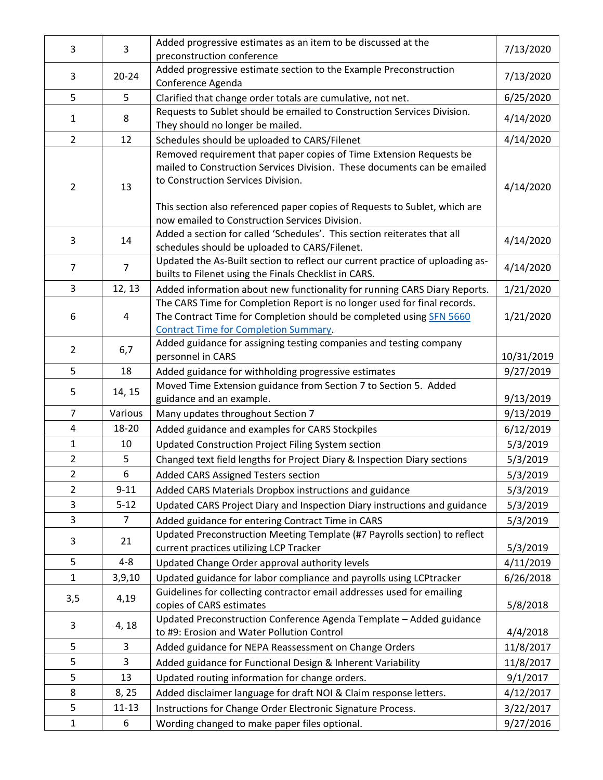| 3              | 3              | Added progressive estimates as an item to be discussed at the                                                              | 7/13/2020              |
|----------------|----------------|----------------------------------------------------------------------------------------------------------------------------|------------------------|
|                |                | preconstruction conference                                                                                                 |                        |
| 3              | $20 - 24$      | Added progressive estimate section to the Example Preconstruction                                                          | 7/13/2020              |
|                |                | Conference Agenda                                                                                                          |                        |
| 5              | 5              | Clarified that change order totals are cumulative, not net.                                                                | 6/25/2020              |
| 1              | 8              | Requests to Sublet should be emailed to Construction Services Division.<br>They should no longer be mailed.                | 4/14/2020              |
| $\overline{2}$ | 12             | Schedules should be uploaded to CARS/Filenet                                                                               | 4/14/2020              |
|                |                | Removed requirement that paper copies of Time Extension Requests be                                                        |                        |
|                |                | mailed to Construction Services Division. These documents can be emailed                                                   |                        |
| 2              | 13             | to Construction Services Division.                                                                                         | 4/14/2020              |
|                |                |                                                                                                                            |                        |
|                |                | This section also referenced paper copies of Requests to Sublet, which are                                                 |                        |
|                |                | now emailed to Construction Services Division.<br>Added a section for called 'Schedules'. This section reiterates that all |                        |
| 3              | 14             | schedules should be uploaded to CARS/Filenet.                                                                              | 4/14/2020              |
|                |                | Updated the As-Built section to reflect our current practice of uploading as-                                              |                        |
| 7              | $\overline{7}$ | builts to Filenet using the Finals Checklist in CARS.                                                                      | 4/14/2020              |
| 3              | 12, 13         | Added information about new functionality for running CARS Diary Reports.                                                  | 1/21/2020              |
|                |                | The CARS Time for Completion Report is no longer used for final records.                                                   |                        |
| 6              | 4              | The Contract Time for Completion should be completed using SFN 5660                                                        | 1/21/2020              |
|                |                | <b>Contract Time for Completion Summary.</b>                                                                               |                        |
| $\overline{2}$ | 6,7            | Added guidance for assigning testing companies and testing company                                                         |                        |
|                |                | personnel in CARS                                                                                                          | 10/31/2019             |
| 5              | 18             | Added guidance for withholding progressive estimates                                                                       | 9/27/2019              |
| 5              | 14, 15         | Moved Time Extension guidance from Section 7 to Section 5. Added                                                           |                        |
|                |                | guidance and an example.                                                                                                   | 9/13/2019              |
| 7              | Various        | Many updates throughout Section 7                                                                                          | 9/13/2019              |
| 4              | 18-20          | Added guidance and examples for CARS Stockpiles                                                                            | 6/12/2019              |
| $\mathbf{1}$   | 10             | Updated Construction Project Filing System section                                                                         | 5/3/2019               |
| 2              | 5              | Changed text field lengths for Project Diary & Inspection Diary sections                                                   | 5/3/2019               |
| 2              | 6              | Added CARS Assigned Testers section                                                                                        | 5/3/2019               |
| $\overline{2}$ | $9 - 11$       | Added CARS Materials Dropbox instructions and guidance                                                                     | 5/3/2019               |
| 3              | $5 - 12$       | Updated CARS Project Diary and Inspection Diary instructions and guidance                                                  | 5/3/2019               |
| 3              | $\overline{7}$ | Added guidance for entering Contract Time in CARS                                                                          | 5/3/2019               |
| 3              | 21             | Updated Preconstruction Meeting Template (#7 Payrolls section) to reflect                                                  |                        |
|                |                | current practices utilizing LCP Tracker                                                                                    | 5/3/2019               |
| 5              | $4 - 8$        | Updated Change Order approval authority levels                                                                             | 4/11/2019              |
| 1              | 3,9,10         | Updated guidance for labor compliance and payrolls using LCPtracker                                                        | 6/26/2018              |
| 3,5            | 4,19           | Guidelines for collecting contractor email addresses used for emailing                                                     |                        |
|                |                | copies of CARS estimates                                                                                                   | 5/8/2018               |
| 3              | 4, 18          | Updated Preconstruction Conference Agenda Template - Added guidance<br>to #9: Erosion and Water Pollution Control          | 4/4/2018               |
| 5              | 3              |                                                                                                                            |                        |
| 5              | 3              | Added guidance for NEPA Reassessment on Change Orders                                                                      | 11/8/2017<br>11/8/2017 |
| 5              | 13             | Added guidance for Functional Design & Inherent Variability                                                                |                        |
|                |                | Updated routing information for change orders.                                                                             | 9/1/2017               |
| 8              | 8, 25          | Added disclaimer language for draft NOI & Claim response letters.                                                          | 4/12/2017              |
| 5              | $11 - 13$      | Instructions for Change Order Electronic Signature Process.                                                                | 3/22/2017              |
| 1              | 6              | Wording changed to make paper files optional.                                                                              | 9/27/2016              |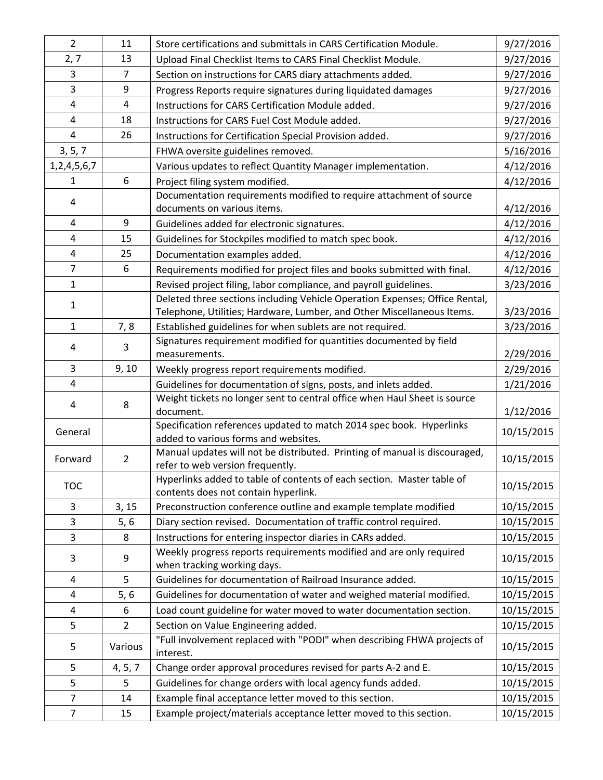| 2                | 11             | Store certifications and submittals in CARS Certification Module.                                              | 9/27/2016  |
|------------------|----------------|----------------------------------------------------------------------------------------------------------------|------------|
| 2,7              | 13             | Upload Final Checklist Items to CARS Final Checklist Module.                                                   | 9/27/2016  |
| 3                | $\overline{7}$ | Section on instructions for CARS diary attachments added.                                                      | 9/27/2016  |
| 3                | 9              | Progress Reports require signatures during liquidated damages                                                  | 9/27/2016  |
| 4                | $\overline{4}$ | Instructions for CARS Certification Module added.                                                              | 9/27/2016  |
| 4                | 18             | Instructions for CARS Fuel Cost Module added.                                                                  | 9/27/2016  |
| 4                | 26             | Instructions for Certification Special Provision added.                                                        | 9/27/2016  |
| 3, 5, 7          |                | FHWA oversite guidelines removed.                                                                              | 5/16/2016  |
| 1, 2, 4, 5, 6, 7 |                | Various updates to reflect Quantity Manager implementation.                                                    | 4/12/2016  |
| $\mathbf{1}$     | 6              | Project filing system modified.                                                                                | 4/12/2016  |
| 4                |                | Documentation requirements modified to require attachment of source                                            |            |
|                  |                | documents on various items.                                                                                    | 4/12/2016  |
| 4                | 9              | Guidelines added for electronic signatures.                                                                    | 4/12/2016  |
| 4                | 15             | Guidelines for Stockpiles modified to match spec book.                                                         | 4/12/2016  |
| 4                | 25             | Documentation examples added.                                                                                  | 4/12/2016  |
| $\overline{7}$   | 6              | Requirements modified for project files and books submitted with final.                                        | 4/12/2016  |
| $\mathbf{1}$     |                | Revised project filing, labor compliance, and payroll guidelines.                                              | 3/23/2016  |
| 1                |                | Deleted three sections including Vehicle Operation Expenses; Office Rental,                                    |            |
|                  |                | Telephone, Utilities; Hardware, Lumber, and Other Miscellaneous Items.                                         | 3/23/2016  |
| 1                | 7,8            | Established guidelines for when sublets are not required.                                                      | 3/23/2016  |
| 4                | 3              | Signatures requirement modified for quantities documented by field<br>measurements.                            | 2/29/2016  |
| 3                | 9, 10          | Weekly progress report requirements modified.                                                                  | 2/29/2016  |
| 4                |                | Guidelines for documentation of signs, posts, and inlets added.                                                | 1/21/2016  |
| 4                | 8              | Weight tickets no longer sent to central office when Haul Sheet is source<br>document.                         | 1/12/2016  |
| General          |                | Specification references updated to match 2014 spec book. Hyperlinks<br>added to various forms and websites.   | 10/15/2015 |
| Forward          | $\overline{2}$ | Manual updates will not be distributed. Printing of manual is discouraged,<br>refer to web version frequently. | 10/15/2015 |
|                  |                | Hyperlinks added to table of contents of each section. Master table of                                         |            |
| <b>TOC</b>       |                | contents does not contain hyperlink.                                                                           | 10/15/2015 |
| 3                | 3, 15          | Preconstruction conference outline and example template modified                                               | 10/15/2015 |
| 3                | 5, 6           | Diary section revised. Documentation of traffic control required.                                              | 10/15/2015 |
| 3                | 8              | Instructions for entering inspector diaries in CARs added.                                                     | 10/15/2015 |
| 3                | 9              | Weekly progress reports requirements modified and are only required<br>when tracking working days.             | 10/15/2015 |
| 4                | 5              | Guidelines for documentation of Railroad Insurance added.                                                      | 10/15/2015 |
| 4                | 5,6            | Guidelines for documentation of water and weighed material modified.                                           | 10/15/2015 |
| 4                | 6              | Load count guideline for water moved to water documentation section.                                           | 10/15/2015 |
| 5                | $\overline{2}$ | Section on Value Engineering added.                                                                            | 10/15/2015 |
| 5                | Various        | "Full involvement replaced with "PODI" when describing FHWA projects of<br>interest.                           | 10/15/2015 |
| 5                | 4, 5, 7        | Change order approval procedures revised for parts A-2 and E.                                                  | 10/15/2015 |
| 5                | 5              | Guidelines for change orders with local agency funds added.                                                    | 10/15/2015 |
| $\overline{7}$   | 14             | Example final acceptance letter moved to this section.                                                         | 10/15/2015 |
| 7                | 15             | Example project/materials acceptance letter moved to this section.                                             | 10/15/2015 |